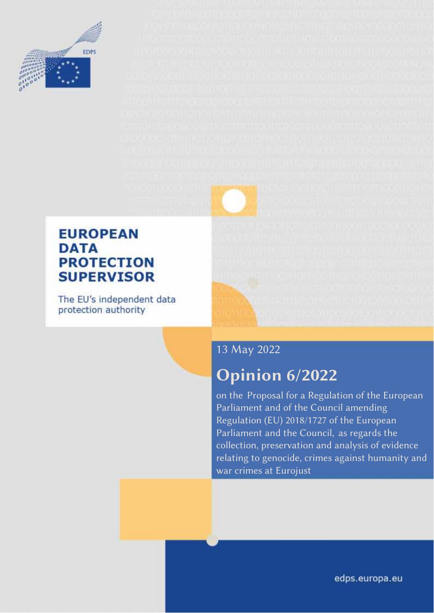

### **EUROPEAN DATA PROTECTION SUPERVISOR**

The EU's independent data protection authority

### 13 May 2022

# **Opinion 6/2022**

on the Proposal for a Regulation of the European Parliament and of the Council amending Regulation (EU) 2018/1727 of the European Parliament and the Council, as regards the collection, preservation and analysis of evidence relating to genocide, crimes against humanity and war crimes at Eurojust

edps.europa.eu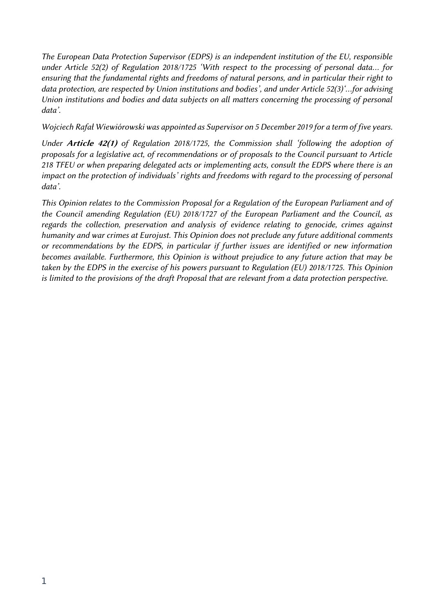*The European Data Protection Supervisor (EDPS) is an independent institution of the EU, responsible under Article 52(2) of Regulation 2018/1725 'With respect to the processing of personal data… for ensuring that the fundamental rights and freedoms of natural persons, and in particular their right to data protection, are respected by Union institutions and bodies', and under Article 52(3)'…for advising Union institutions and bodies and data subjects on all matters concerning the processing of personal data'.*

*Wojciech Rafał Wiewiórowski was appointed as Supervisor on 5 December 2019 for a term of five years.*

*Under Article 42(1) of Regulation 2018/1725, the Commission shall 'following the adoption of proposals for a legislative act, of recommendations or of proposals to the Council pursuant to Article 218 TFEU or when preparing delegated acts or implementing acts, consult the EDPS where there is an impact on the protection of individuals' rights and freedoms with regard to the processing of personal data'.*

*This Opinion relates to the Commission Proposal for a Regulation of the European Parliament and of the Council amending Regulation (EU) 2018/1727 of the European Parliament and the Council, as regards the collection, preservation and analysis of evidence relating to genocide, crimes against humanity and war crimes at Eurojust. This Opinion does not preclude any future additional comments or recommendations by the EDPS, in particular if further issues are identified or new information becomes available. Furthermore, this Opinion is without prejudice to any future action that may be taken by the EDPS in the exercise of his powers pursuant to Regulation (EU) 2018/1725. This Opinion is limited to the provisions of the draft Proposal that are relevant from a data protection perspective.*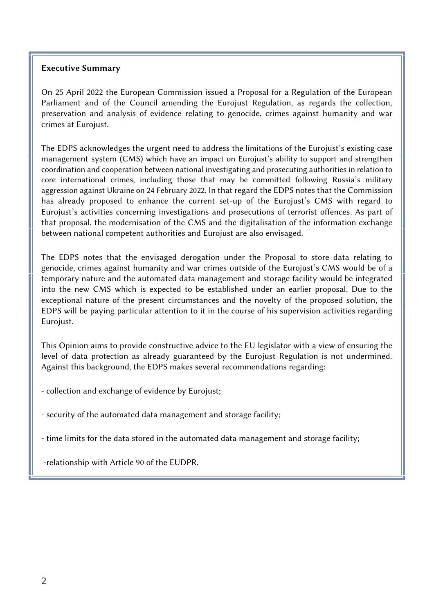#### **Executive Summary**

On 25 April 2022 the European Commission issued a Proposal for a Regulation of the European Parliament and of the Council amending the Eurojust Regulation, as regards the collection, preservation and analysis of evidence relating to genocide, crimes against humanity and war crimes at Eurojust.

The EDPS acknowledges the urgent need to address the limitations of the Eurojust's existing case management system (CMS) which have an impact on Eurojust's ability to support and strengthen coordination and cooperation between national investigating and prosecuting authorities in relation to core international crimes, including those that may be committed following Russia's military aggression against Ukraine on 24 February 2022. In that regard the EDPS notes that the Commission has already proposed to enhance the current set-up of the Eurojust's CMS with regard to Eurojust's activities concerning investigations and prosecutions of terrorist offences. As part of that proposal, the modernisation of the CMS and the digitalisation of the information exchange between national competent authorities and Eurojust are also envisaged.

The EDPS notes that the envisaged derogation under the Proposal to store data relating to genocide, crimes against humanity and war crimes outside of the Eurojust's CMS would be of a temporary nature and the automated data management and storage facility would be integrated into the new CMS which is expected to be established under an earlier proposal. Due to the exceptional nature of the present circumstances and the novelty of the proposed solution, the EDPS will be paying particular attention to it in the course of his supervision activities regarding Eurojust.

This Opinion aims to provide constructive advice to the EU legislator with a view of ensuring the level of data protection as already guaranteed by the Eurojust Regulation is not undermined. Against this background, the EDPS makes several recommendations regarding:

- collection and exchange of evidence by Eurojust;

- security of the automated data management and storage facility;

- time limits for the data stored in the automated data management and storage facility;

-relationship with Article 90 of the EUDPR.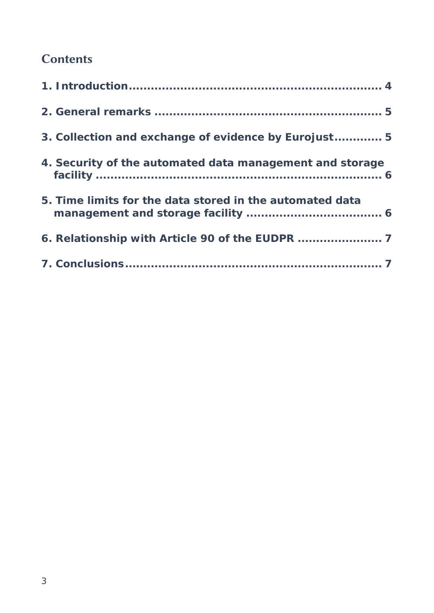# **Contents**

| 3. Collection and exchange of evidence by Eurojust 5     |  |
|----------------------------------------------------------|--|
| 4. Security of the automated data management and storage |  |
| 5. Time limits for the data stored in the automated data |  |
|                                                          |  |
|                                                          |  |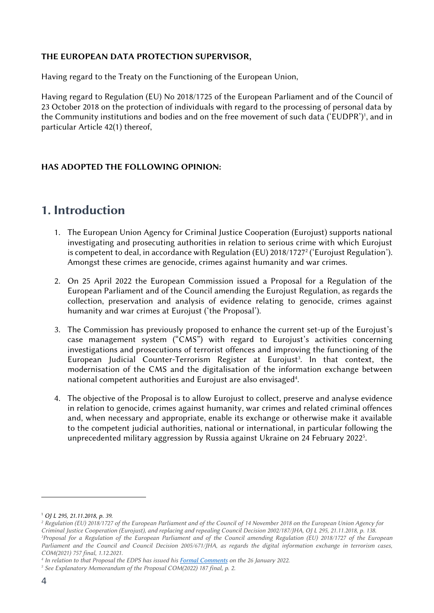#### **THE EUROPEAN DATA PROTECTION SUPERVISOR,**

Having regard to the Treaty on the Functioning of the European Union,

Having regard to Regulation (EU) No 2018/1725 of the European Parliament and of the Council of 23 October 2018 on the protection of individuals with regard to the processing of personal data by the Community institutions and bodies and on the free movement of such data ('EUDPR')', and in particular Article 42(1) thereof,

#### **HAS ADOPTED THE FOLLOWING OPINION:**

### **1. Introduction**

- 1. The European Union Agency for Criminal Justice Cooperation (Eurojust) supports national investigating and prosecuting authorities in relation to serious crime with which Eurojust is competent to deal, in accordance with Regulation (EU) 2018/1727<sup>2</sup> ('Eurojust Regulation'). Amongst these crimes are genocide, crimes against humanity and war crimes.
- 2. On 25 April 2022 the European Commission issued a Proposal for a Regulation of the European Parliament and of the Council amending the Eurojust Regulation, as regards the collection, preservation and analysis of evidence relating to genocide, crimes against humanity and war crimes at Eurojust ('the Proposal').
- 3. The Commission has previously proposed to enhance the current set-up of the Eurojust's case management system ("CMS") with regard to Eurojust's activities concerning investigations and prosecutions of terrorist offences and improving the functioning of the European Judicial Counter-Terrorism Register at Eurojust<sup>3</sup>. In that context, the modernisation of the CMS and the digitalisation of the information exchange between national competent authorities and Eurojust are also envisaged<sup>4</sup>.
- 4. The objective of the Proposal is to allow Eurojust to collect, preserve and analyse evidence in relation to genocide, crimes against humanity, war crimes and related criminal offences and, when necessary and appropriate, enable its exchange or otherwise make it available to the competent judicial authorities, national or international, in particular following the unprecedented military aggression by Russia against Ukraine on 24 February 2022<sup>5</sup> .

<sup>1</sup> *OJ L 295, 21.11.2018, p. 39.*

*<sup>2</sup> Regulation (EU) 2018/1727 of the European Parliament and of the Council of 14 November 2018 on the European Union Agency for Criminal Justice Cooperation (Eurojust), and replacing and repealing Council Decision 2002/187/JHA, OJ L 295, 21.11.2018, p. 138. <sup>3</sup>Proposal for a Regulation of the European Parliament and of the Council amending Regulation (EU) 2018/1727 of the European Parliament and the Council and Council Decision 2005/671/JHA, as regards the digital information exchange in terrorism cases, COM(2021) 757 final, 1.12.2021.*

*<sup>4</sup> In relation to that Proposal the EDPS has issued his Formal Comments on the 26 January 2022.*

*<sup>5</sup> See Explanatory Memorandum of the Proposal COM(2022) 187 final, p. 2.*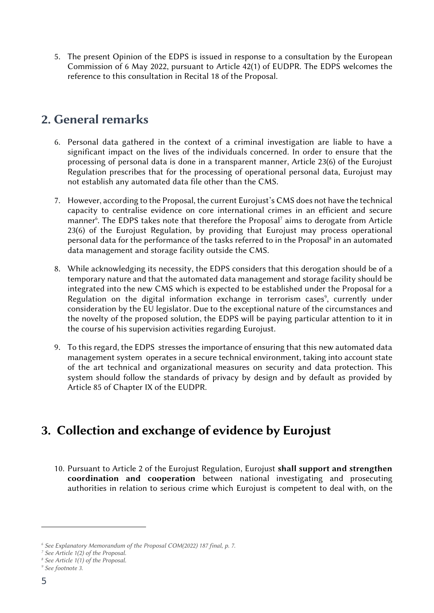5. The present Opinion of the EDPS is issued in response to a consultation by the European Commission of 6 May 2022, pursuant to Article 42(1) of EUDPR. The EDPS welcomes the reference to this consultation in Recital 18 of the Proposal.

#### **2. General remarks**

- 6. Personal data gathered in the context of a criminal investigation are liable to have a significant impact on the lives of the individuals concerned. In order to ensure that the processing of personal data is done in a transparent manner, Article 23(6) of the Eurojust Regulation prescribes that for the processing of operational personal data, Eurojust may not establish any automated data file other than the CMS.
- 7. However, according to the Proposal, the current Eurojust's CMS does not have the technical capacity to centralise evidence on core international crimes in an efficient and secure manner<sup>6</sup>. The EDPS takes note that therefore the Proposal<sup>7</sup> aims to derogate from Article 23(6) of the Eurojust Regulation, by providing that Eurojust may process operational personal data for the performance of the tasks referred to in the Proposal<sup>8</sup> in an automated data management and storage facility outside the CMS.
- 8. While acknowledging its necessity, the EDPS considers that this derogation should be of a temporary nature and that the automated data management and storage facility should be integrated into the new CMS which is expected to be established under the Proposal for a Regulation on the digital information exchange in terrorism cases<sup>9</sup>, currently under consideration by the EU legislator. Due to the exceptional nature of the circumstances and the novelty of the proposed solution, the EDPS will be paying particular attention to it in the course of his supervision activities regarding Eurojust.
- 9. To this regard, the EDPS stresses the importance of ensuring that this new automated data management system operates in a secure technical environment, taking into account state of the art technical and organizational measures on security and data protection. This system should follow the standards of privacy by design and by default as provided by Article 85 of Chapter IX of the EUDPR.

## **3. Collection and exchange of evidence by Eurojust**

10. Pursuant to Article 2 of the Eurojust Regulation, Eurojust **shall support and strengthen coordination and cooperation** between national investigating and prosecuting authorities in relation to serious crime which Eurojust is competent to deal with, on the

*<sup>6</sup> See Explanatory Memorandum of the Proposal COM(2022) 187 final, p. 7.*

*<sup>7</sup> See Article 1(2) of the Proposal.*

*<sup>8</sup> See Article 1(1) of the Proposal.*

*<sup>9</sup> See footnote 3.*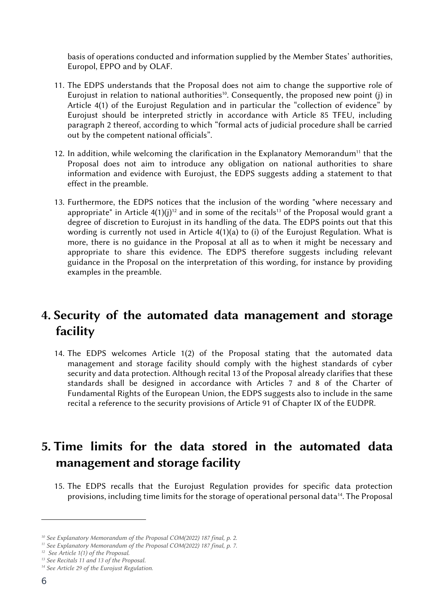basis of operations conducted and information supplied by the Member States' authorities, Europol, EPPO and by OLAF.

- 11. The EDPS understands that the Proposal does not aim to change the supportive role of Eurojust in relation to national authorities<sup>10</sup>. Consequently, the proposed new point (j) in Article 4(1) of the Eurojust Regulation and in particular the "collection of evidence" by Eurojust should be interpreted strictly in accordance with Article 85 TFEU, including paragraph 2 thereof, according to which "formal acts of judicial procedure shall be carried out by the competent national officials".
- 12. In addition, while welcoming the clarification in the Explanatory Memorandum<sup>11</sup> that the Proposal does not aim to introduce any obligation on national authorities to share information and evidence with Eurojust, the EDPS suggests adding a statement to that effect in the preamble.
- 13. Furthermore, the EDPS notices that the inclusion of the wording "where necessary and appropriate" in Article  $4(1)(j)^{12}$  and in some of the recitals<sup>13</sup> of the Proposal would grant a degree of discretion to Eurojust in its handling of the data. The EDPS points out that this wording is currently not used in Article 4(1)(a) to (i) of the Eurojust Regulation. What is more, there is no guidance in the Proposal at all as to when it might be necessary and appropriate to share this evidence. The EDPS therefore suggests including relevant guidance in the Proposal on the interpretation of this wording, for instance by providing examples in the preamble.

### **4. Security of the automated data management and storage facility**

14. The EDPS welcomes Article 1(2) of the Proposal stating that the automated data management and storage facility should comply with the highest standards of cyber security and data protection. Although recital 13 of the Proposal already clarifies that these standards shall be designed in accordance with Articles 7 and 8 of the Charter of Fundamental Rights of the European Union, the EDPS suggests also to include in the same recital a reference to the security provisions of Article 91 of Chapter IX of the EUDPR.

# **5. Time limits for the data stored in the automated data management and storage facility**

15. The EDPS recalls that the Eurojust Regulation provides for specific data protection provisions, including time limits for the storage of operational personal data<sup>14</sup>. The Proposal

*<sup>10</sup> See Explanatory Memorandum of the Proposal COM(2022) 187 final, p. 2.*

*<sup>11</sup> See Explanatory Memorandum of the Proposal COM(2022) 187 final, p. 7.*

*<sup>12</sup> See Article 1(1) of the Proposal.*

*<sup>13</sup> See Recitals 11 and 13 of the Proposal.*

*<sup>14</sup> See Article 29 of the Eurojust Regulation.*